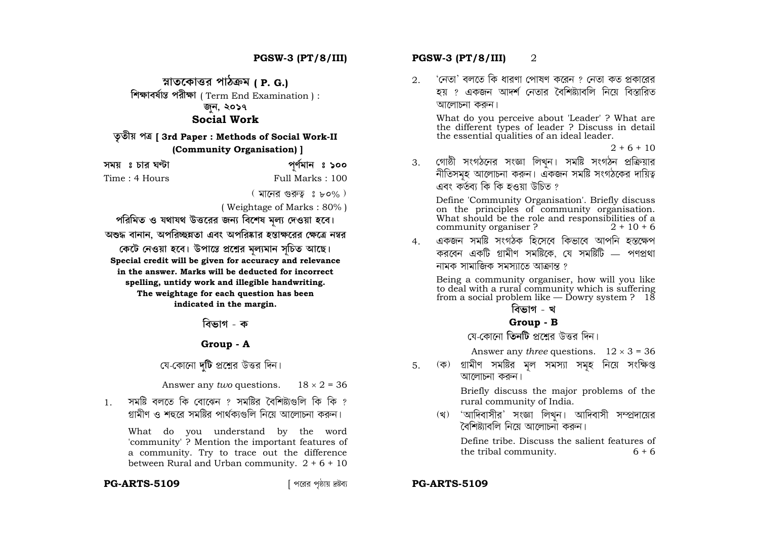**ÿoˆÁTˆ"EıÁw¯Ã[˝ YÁPˆy'] ( P. G.) ◊`l˘Á[˝bÔÁ‹ôˆ YÃ[˝›l˘Á** ( Term End Examination ) : জন, ২**০১**৭ **Social Work**

# **T ˆTˆ›Ã^ Yy [ 3rd Paper : Methods of Social Work-II (Community Organisation) ]**

| সময় ঃ চার ঘণ্টা | পূৰ্ণমান ঃ ১০০   |
|------------------|------------------|
| Time : 4 Hours   | Full Marks : 100 |

 $($  মানের গুরুত্ব ঃ ৮০% )

( Weightage of Marks : 80% )

পরিমিত ও যথাযথ উত্তরের জন্য বিশেষ মল্য দেওয়া হবে। `অশুদ্ধ বানান, অপরিচ্ছন্নতা এবং অপরিষ্কার হস্তাক্ষরের ক্ষেত্রে নম্বর কেটে নেওয়া হবে। উপান্তে প্রশ্নের মল্যমান সচিত আছে। **Special credit will be given for accuracy and relevance in the answer. Marks will be deducted for incorrect spelling, untidy work and illegible handwriting. The weightage for each question has been indicated in the margin.** 

<u>বিভাগ - ক</u>

### **Group - A**

### মে-কোনো **দটি** প্রশ্নের উত্তর দিন।

Answer any *two* questions.  $18 \times 2 = 36$ 

 $1$  মেমাষ্ট বলতে কি বোঝেন  $2$  সমষ্টিব বৈশিষ্ট্যগুলি কি কি  $2$ গ্রামীণ ও শহুরে সমষ্টির পার্থকাগুলি নিয়ে আলোচনা করুন।

 What do you understand by the word 'community' ? Mention the important features of a community. Try to trace out the difference between Rural and Urban community.  $2 + 6 + 10$ 

#### **PG-ARTS-5109**

# **PGSW-3 (PT/8/III) PGSW-3 (PT/8/III)** 2

 $2.$  'নেতা' বলতে কি ধারণা পোষণ করেন ? নেতা কত প্রকারের হয় ? একজন আদর্শ নেতার বৈশিষ্ট্যাবলি নিয়ে বিস্<mark>তা</mark>রিত আলোচনা করুন।

 What do you perceive about 'Leader' ? What are the different types of leader ? Discuss in detail the essential qualities of an ideal leader.

 $2 + 6 + 10$ 

3. গোষ্ঠী সংগঠনের সংজ্ঞা লিখুন। সমষ্টি সংগঠন প্রক্রিয়ার<br>নীতিসমূহ আলোচনা করুন। একজন সমষ্টি সংগঠকের দায়িত্ব<br>এবং কর্তব্য কি কি হওয়া উচিত ?

Define 'Community Organisation'. Briefly discuss on the principles of community organisation. What should be the role and responsibilities of a community organiser ?  $2 + 10 + 6$ 

<u>4 একজন সমষ্টি সংগঠক হিসেবে কিভাবে আপনি হস্কক্ষেপ</u> করবেন একটি গ্রামীণ সমষ্টিকে, যে সমষ্টিটি — পণপ্রথা নামক সামাজিক সমস্যাতে আক্রান্ত ?

 Being a community organiser, how will you like to deal with a rural community which is suffering from a social problem like — Dowry system ?  $1\overline{8}$ 

### <u>বিভাগ - খ</u>

#### **Group - B**

মে-কোনো **তিনটি** প্রশ্নের উত্তর দিন।

Answer any *three* questions.  $12 \times 3 = 36$ 

5. (ক) গ্ৰামীণ সমষ্টির মূল সমস্যা সমূহ নিয়ে সংক্ষিপ্ত আলোচনা করুন।

> Briefly discuss the major problems of the rural community of India.

(খ) 'আদিবাসীর' সংজ্ঞা লিখুন। আদিবাসী সম্প্রদায়ের<br>বৈশিষ্ট্যাবলি নিয়ে আলোচনা কৰুন।

 Define tribe. Discuss the salient features of the tribal community.  $6 + 6$ 

#### [ Y"Ã[˝Ã[˝ Y úˆÁÃ^ V–rÙ[˝Ó **PG-ARTS-5109**